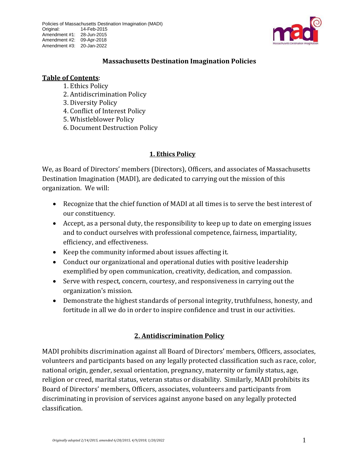

#### **Massachusetts Destination Imagination Policies**

#### **Table of Contents**:

- 1. Ethics Policy
- 2. Antidiscrimination Policy
- 3. Diversity Policy
- 4. Conflict of Interest Policy
- 5. Whistleblower Policy
- 6. Document Destruction Policy

#### **1. Ethics Policy**

We, as Board of Directors' members (Directors), Officers, and associates of Massachusetts Destination Imagination (MADI), are dedicated to carrying out the mission of this organization. We will:

- Recognize that the chief function of MADI at all times is to serve the best interest of our constituency.
- Accept, as a personal duty, the responsibility to keep up to date on emerging issues and to conduct ourselves with professional competence, fairness, impartiality, efficiency, and effectiveness.
- Keep the community informed about issues affecting it.
- Conduct our organizational and operational duties with positive leadership exemplified by open communication, creativity, dedication, and compassion.
- Serve with respect, concern, courtesy, and responsiveness in carrying out the organization's mission.
- Demonstrate the highest standards of personal integrity, truthfulness, honesty, and fortitude in all we do in order to inspire confidence and trust in our activities.

## **2. Antidiscrimination Policy**

MADI prohibits discrimination against all Board of Directors' members, Officers, associates, volunteers and participants based on any legally protected classification such as race, color, national origin, gender, sexual orientation, pregnancy, maternity or family status, age, religion or creed, marital status, veteran status or disability. Similarly, MADI prohibits its Board of Directors' members, Officers, associates, volunteers and participants from discriminating in provision of services against anyone based on any legally protected classification.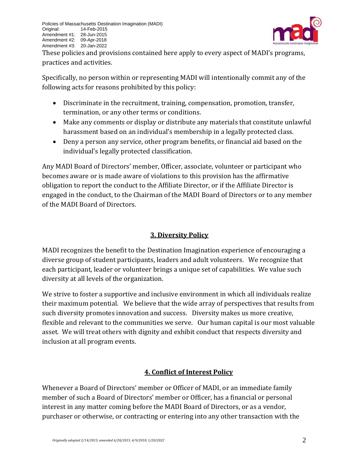

These policies and provisions contained here apply to every aspect of MADI's programs, practices and activities.

Specifically, no person within or representing MADI will intentionally commit any of the following acts for reasons prohibited by this policy:

- Discriminate in the recruitment, training, compensation, promotion, transfer, termination, or any other terms or conditions.
- Make any comments or display or distribute any materials that constitute unlawful harassment based on an individual's membership in a legally protected class.
- Deny a person any service, other program benefits, or financial aid based on the individual's legally protected classification.

Any MADI Board of Directors' member, Officer, associate, volunteer or participant who becomes aware or is made aware of violations to this provision has the affirmative obligation to report the conduct to the Affiliate Director, or if the Affiliate Director is engaged in the conduct, to the Chairman of the MADI Board of Directors or to any member of the MADI Board of Directors.

## **3. Diversity Policy**

MADI recognizes the benefit to the Destination Imagination experience of encouraging a diverse group of student participants, leaders and adult volunteers. We recognize that each participant, leader or volunteer brings a unique set of capabilities. We value such diversity at all levels of the organization.

We strive to foster a supportive and inclusive environment in which all individuals realize their maximum potential. We believe that the wide array of perspectives that results from such diversity promotes innovation and success. Diversity makes us more creative, flexible and relevant to the communities we serve. Our human capital is our most valuable asset. We will treat others with dignity and exhibit conduct that respects diversity and inclusion at all program events.

# **4. Conflict of Interest Policy**

Whenever a Board of Directors' member or Officer of MADI, or an immediate family member of such a Board of Directors' member or Officer, has a financial or personal interest in any matter coming before the MADI Board of Directors, or as a vendor, purchaser or otherwise, or contracting or entering into any other transaction with the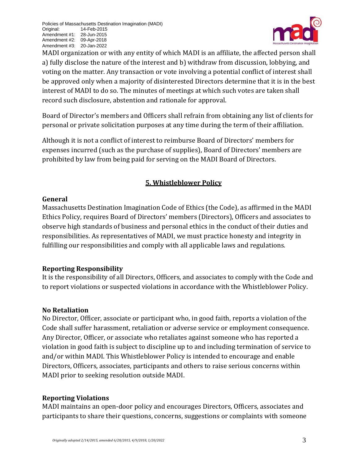

MADI organization or with any entity of which MADI is an affiliate, the affected person shall a) fully disclose the nature of the interest and b) withdraw from discussion, lobbying, and voting on the matter. Any transaction or vote involving a potential conflict of interest shall be approved only when a majority of disinterested Directors determine that it is in the best interest of MADI to do so. The minutes of meetings at which such votes are taken shall record such disclosure, abstention and rationale for approval.

Board of Director's members and Officers shall refrain from obtaining any list of clients for personal or private solicitation purposes at any time during the term of their affiliation.

Although it is not a conflict of interest to reimburse Board of Directors' members for expenses incurred (such as the purchase of supplies), Board of Directors' members are prohibited by law from being paid for serving on the MADI Board of Directors.

## **5. Whistleblower Policy**

#### **General**

Massachusetts Destination Imagination Code of Ethics (the Code), as affirmed in the MADI Ethics Policy, requires Board of Directors' members (Directors), Officers and associates to observe high standards of business and personal ethics in the conduct of their duties and responsibilities. As representatives of MADI, we must practice honesty and integrity in fulfilling our responsibilities and comply with all applicable laws and regulations.

## **Reporting Responsibility**

It is the responsibility of all Directors, Officers, and associates to comply with the Code and to report violations or suspected violations in accordance with the Whistleblower Policy.

## **No Retaliation**

No Director, Officer, associate or participant who, in good faith, reports a violation of the Code shall suffer harassment, retaliation or adverse service or employment consequence. Any Director, Officer, or associate who retaliates against someone who has reported a violation in good faith is subject to discipline up to and including termination of service to and/or within MADI. This Whistleblower Policy is intended to encourage and enable Directors, Officers, associates, participants and others to raise serious concerns within MADI prior to seeking resolution outside MADI.

## **Reporting Violations**

MADI maintains an open-door policy and encourages Directors, Officers, associates and participants to share their questions, concerns, suggestions or complaints with someone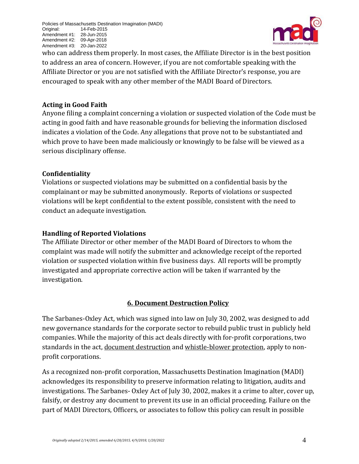

who can address them properly. In most cases, the Affiliate Director is in the best position to address an area of concern. However, if you are not comfortable speaking with the Affiliate Director or you are not satisfied with the Affiliate Director's response, you are encouraged to speak with any other member of the MADI Board of Directors.

#### **Acting in Good Faith**

Anyone filing a complaint concerning a violation or suspected violation of the Code must be acting in good faith and have reasonable grounds for believing the information disclosed indicates a violation of the Code. Any allegations that prove not to be substantiated and which prove to have been made maliciously or knowingly to be false will be viewed as a serious disciplinary offense.

#### **Confidentiality**

Violations or suspected violations may be submitted on a confidential basis by the complainant or may be submitted anonymously. Reports of violations or suspected violations will be kept confidential to the extent possible, consistent with the need to conduct an adequate investigation.

### **Handling of Reported Violations**

The Affiliate Director or other member of the MADI Board of Directors to whom the complaint was made will notify the submitter and acknowledge receipt of the reported violation or suspected violation within five business days. All reports will be promptly investigated and appropriate corrective action will be taken if warranted by the investigation.

## **6. Document Destruction Policy**

The Sarbanes-Oxley Act, which was signed into law on July 30, 2002, was designed to add new governance standards for the corporate sector to rebuild public trust in publicly held companies. While the majority of this act deals directly with for-profit corporations, two standards in the act, document destruction and whistle-blower protection, apply to nonprofit corporations.

As a recognized non-profit corporation, Massachusetts Destination Imagination (MADI) acknowledges its responsibility to preserve information relating to litigation, audits and investigations. The Sarbanes- Oxley Act of July 30, 2002, makes it a crime to alter, cover up, falsify, or destroy any document to prevent its use in an official proceeding. Failure on the part of MADI Directors, Officers, or associates to follow this policy can result in possible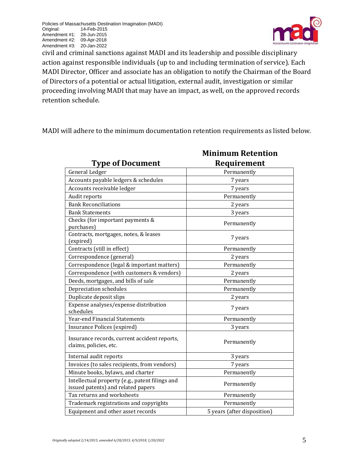

civil and criminal sanctions against MADI and its leadership and possible disciplinary action against responsible individuals (up to and including termination of service). Each MADI Director, Officer and associate has an obligation to notify the Chairman of the Board of Directors of a potential or actual litigation, external audit, investigation or similar proceeding involving MADI that may have an impact, as well, on the approved records retention schedule.

MADI will adhere to the minimum documentation retention requirements as listed below.

|                                                                                       | <b>Minimum Retention</b>    |
|---------------------------------------------------------------------------------------|-----------------------------|
| <b>Type of Document</b>                                                               | Requirement                 |
| General Ledger                                                                        | Permanently                 |
| Accounts payable ledgers & schedules                                                  | 7 years                     |
| Accounts receivable ledger                                                            | 7 years                     |
| Audit reports                                                                         | Permanently                 |
| <b>Bank Reconciliations</b>                                                           | 2 years                     |
| <b>Bank Statements</b>                                                                | 3 years                     |
| Checks (for important payments &<br>purchases)                                        | Permanently                 |
| Contracts, mortgages, notes, & leases<br>(expired)                                    | 7 years                     |
| Contracts (still in effect)                                                           | Permanently                 |
| Correspondence (general)                                                              | 2 years                     |
| Correspondence (legal & important matters)                                            | Permanently                 |
| Correspondence (with customers & vendors)                                             | 2 years                     |
| Deeds, mortgages, and bills of sale                                                   | Permanently                 |
| Depreciation schedules                                                                | Permanently                 |
| Duplicate deposit slips                                                               | 2 years                     |
| Expense analyses/expense distribution<br>schedules                                    | 7 years                     |
| Year-end Financial Statements                                                         | Permanently                 |
| <b>Insurance Polices (expired)</b>                                                    | 3 years                     |
| Insurance records, current accident reports,<br>claims, policies, etc.                | Permanently                 |
| Internal audit reports                                                                | 3 years                     |
| Invoices (to sales recipients, from vendors)                                          | 7 years                     |
| Minute books, bylaws, and charter                                                     | Permanently                 |
| Intellectual property (e.g., patent filings and<br>issued patents) and related papers | Permanently                 |
| Tax returns and worksheets                                                            | Permanently                 |
| Trademark registrations and copyrights                                                | Permanently                 |
| Equipment and other asset records                                                     | 5 years (after disposition) |